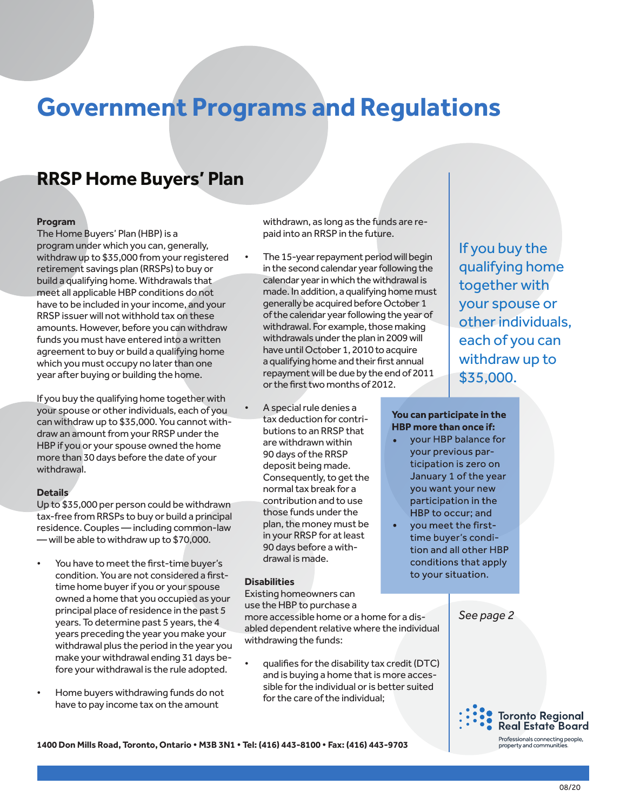# **Government Programs and Regulations**

# **RRSP Home Buyers' Plan**

### **Program**

The Home Buyers' Plan (HBP) is a program under which you can, generally, withdraw up to \$35,000 from your registered retirement savings plan (RRSPs) to buy or build a qualifying home. Withdrawals that meet all applicable HBP conditions do not have to be included in your income, and your RRSP issuer will not withhold tax on these amounts. However, before you can withdraw funds you must have entered into a written agreement to buy or build a qualifying home which you must occupy no later than one year after buying or building the home.

If you buy the qualifying home together with your spouse or other individuals, each of you can withdraw up to \$35,000. You cannot withdraw an amount from your RRSP under the HBP if you or your spouse owned the home more than 30 days before the date of your withdrawal.

#### **Details**

Up to \$35,000 per person could be withdrawn tax-free from RRSPs to buy or build a principal residence. Couples — including common-law — will be able to withdraw up to \$70,000.

- You have to meet the first-time buyer's condition. You are not considered a firsttime home buyer if you or your spouse owned a home that you occupied as your principal place of residence in the past 5 years. To determine past 5 years, the 4 years preceding the year you make your withdrawal plus the period in the year you make your withdrawal ending 31 days before your withdrawal is the rule adopted.
- Home buyers withdrawing funds do not have to pay income tax on the amount

withdrawn, as long as the funds are repaid into an RRSP in the future.

• The 15-year repayment period will begin in the second calendar year following the calendar year in which the withdrawal is made. In addition, a qualifying home must generally be acquired before October 1 of the calendar year following the year of withdrawal. For example, those making withdrawals under the plan in 2009 will have until October 1, 2010 to acquire a qualifying home and their first annual repayment will be due by the end of 2011 or the first two months of 2012.

• A special rule denies a tax deduction for contributions to an RRSP that are withdrawn within 90 days of the RRSP deposit being made. Consequently, to get the normal tax break for a contribution and to use those funds under the plan, the money must be in your RRSP for at least 90 days before a withdrawal is made.

#### **Disabilities**

Existing homeowners can use the HBP to purchase a

more accessible home or a home for a disabled dependent relative where the individual withdrawing the funds:

• qualifies for the disability tax credit (DTC) and is buying a home that is more accessible for the individual or is better suited for the care of the individual;

If you buy the qualifying home together with your spouse or other individuals, each of you can withdraw up to \$35,000.

## You can participate in the **HBP more than once if:**

- your HBP balance for your previous participation is zero on January 1 of the year you want your new participation in the HBP to occur; and
- you meet the firsttime buyer's condition and all other HBP conditions that apply to your situation.

*See page 2*



**1400 Don Mills Road, Toronto, Ontario • M3B 3N1 • Tel: (416) 443-8100 • Fax: (416) 443-9703**